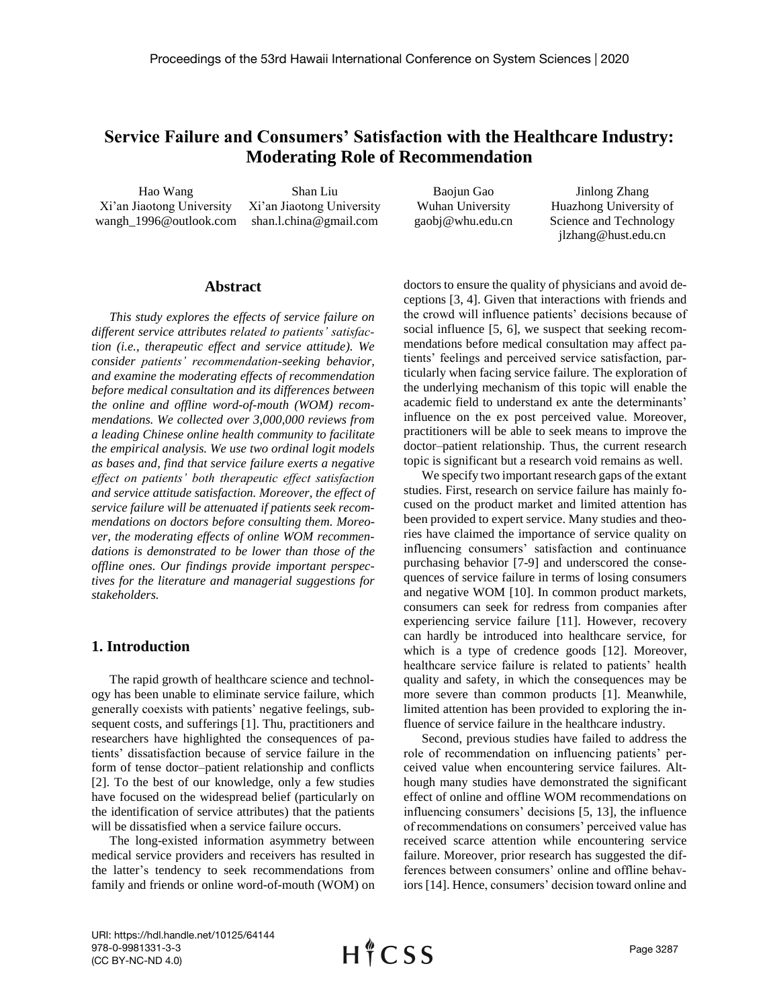# **Service Failure and Consumers' Satisfaction with the Healthcare Industry: Moderating Role of Recommendation**

Hao Wang Xi'an Jiaotong University wangh\_1996@outlook.com

Shan Liu Xi'an Jiaotong University shan.l.china@gmail.com

Baojun Gao Wuhan University gaobj@whu.edu.cn

Jinlong Zhang Huazhong University of Science and Technology [jlzhang@hust.edu.cn](mailto:jlzhang@hust.edu.cn)

## **Abstract**

*This study explores the effects of service failure on different service attributes related to patients' satisfaction (i.e., therapeutic effect and service attitude). We consider patients' recommendation-seeking behavior, and examine the moderating effects of recommendation before medical consultation and its differences between the online and offline word-of-mouth (WOM) recommendations. We collected over 3,000,000 reviews from a leading Chinese online health community to facilitate the empirical analysis. We use two ordinal logit models as bases and, find that service failure exerts a negative effect on patients' both therapeutic effect satisfaction and service attitude satisfaction. Moreover, the effect of service failure will be attenuated if patients seek recommendations on doctors before consulting them. Moreover, the moderating effects of online WOM recommendations is demonstrated to be lower than those of the offline ones. Our findings provide important perspectives for the literature and managerial suggestions for stakeholders.*

## **1. Introduction**

The rapid growth of healthcare science and technology has been unable to eliminate service failure, which generally coexists with patients' negative feelings, subsequent costs, and sufferings [1]. Thu, practitioners and researchers have highlighted the consequences of patients' dissatisfaction because of service failure in the form of tense doctor–patient relationship and conflicts [2]. To the best of our knowledge, only a few studies have focused on the widespread belief (particularly on the identification of service attributes) that the patients will be dissatisfied when a service failure occurs.

The long-existed information asymmetry between medical service providers and receivers has resulted in the latter's tendency to seek recommendations from family and friends or online word-of-mouth (WOM) on doctors to ensure the quality of physicians and avoid deceptions [3, 4]. Given that interactions with friends and the crowd will influence patients' decisions because of social influence [5, 6], we suspect that seeking recommendations before medical consultation may affect patients' feelings and perceived service satisfaction, particularly when facing service failure. The exploration of the underlying mechanism of this topic will enable the academic field to understand ex ante the determinants' influence on the ex post perceived value. Moreover, practitioners will be able to seek means to improve the doctor–patient relationship. Thus, the current research topic is significant but a research void remains as well.

We specify two important research gaps of the extant studies. First, research on service failure has mainly focused on the product market and limited attention has been provided to expert service. Many studies and theories have claimed the importance of service quality on influencing consumers' satisfaction and continuance purchasing behavior [7-9] and underscored the consequences of service failure in terms of losing consumers and negative WOM [10]. In common product markets, consumers can seek for redress from companies after experiencing service failure [11]. However, recovery can hardly be introduced into healthcare service, for which is a type of credence goods [12]. Moreover, healthcare service failure is related to patients' health quality and safety, in which the consequences may be more severe than common products [1]. Meanwhile, limited attention has been provided to exploring the influence of service failure in the healthcare industry.

Second, previous studies have failed to address the role of recommendation on influencing patients' perceived value when encountering service failures. Although many studies have demonstrated the significant effect of online and offline WOM recommendations on influencing consumers' decisions [5, 13], the influence of recommendations on consumers' perceived value has received scarce attention while encountering service failure. Moreover, prior research has suggested the differences between consumers' online and offline behaviors [14]. Hence, consumers' decision toward online and

URI: https://hdl.handle.net/10125/64144 978-0-9981331-3-3 (CC BY-NC-ND 4.0)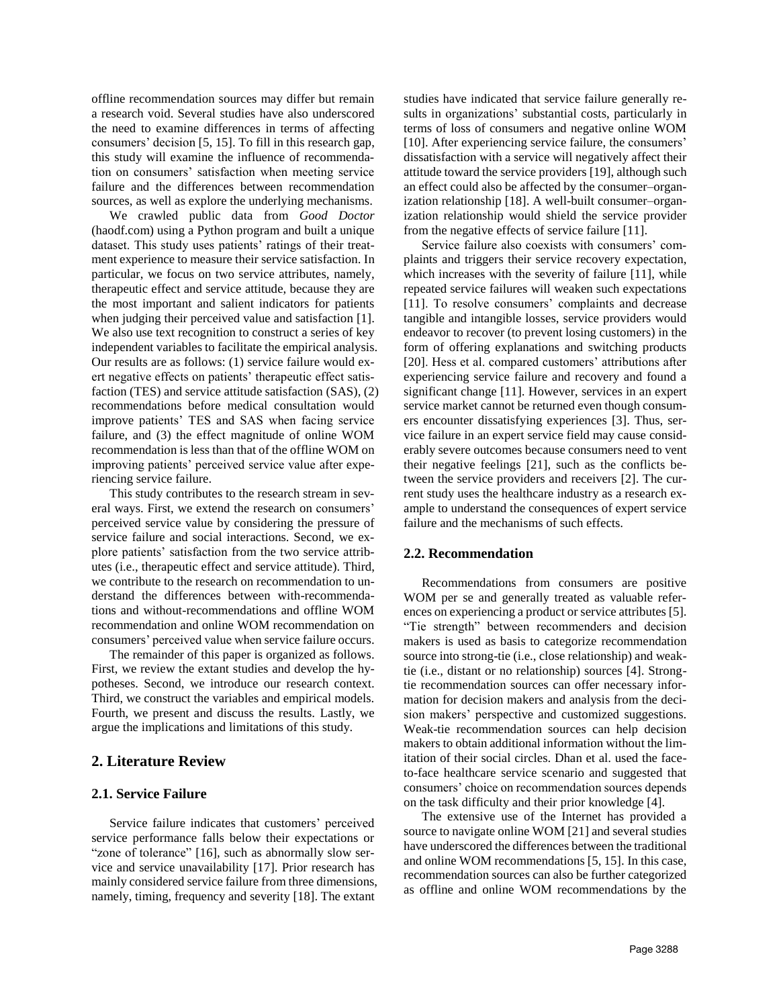offline recommendation sources may differ but remain a research void. Several studies have also underscored the need to examine differences in terms of affecting consumers' decision [5, 15]. To fill in this research gap, this study will examine the influence of recommendation on consumers' satisfaction when meeting service failure and the differences between recommendation sources, as well as explore the underlying mechanisms.

We crawled public data from *Good Doctor* (haodf.com) using a Python program and built a unique dataset. This study uses patients' ratings of their treatment experience to measure their service satisfaction. In particular, we focus on two service attributes, namely, therapeutic effect and service attitude, because they are the most important and salient indicators for patients when judging their perceived value and satisfaction [1]. We also use text recognition to construct a series of key independent variables to facilitate the empirical analysis. Our results are as follows: (1) service failure would exert negative effects on patients' therapeutic effect satisfaction (TES) and service attitude satisfaction (SAS), (2) recommendations before medical consultation would improve patients' TES and SAS when facing service failure, and (3) the effect magnitude of online WOM recommendation is less than that of the offline WOM on improving patients' perceived service value after experiencing service failure.

This study contributes to the research stream in several ways. First, we extend the research on consumers' perceived service value by considering the pressure of service failure and social interactions. Second, we explore patients' satisfaction from the two service attributes (i.e., therapeutic effect and service attitude). Third, we contribute to the research on recommendation to understand the differences between with-recommendations and without-recommendations and offline WOM recommendation and online WOM recommendation on consumers' perceived value when service failure occurs.

The remainder of this paper is organized as follows. First, we review the extant studies and develop the hypotheses. Second, we introduce our research context. Third, we construct the variables and empirical models. Fourth, we present and discuss the results. Lastly, we argue the implications and limitations of this study.

## **2. Literature Review**

### **2.1. Service Failure**

Service failure indicates that customers' perceived service performance falls below their expectations or "zone of tolerance" [16], such as abnormally slow service and service unavailability [17]. Prior research has mainly considered service failure from three dimensions, namely, timing, frequency and severity [18]. The extant

studies have indicated that service failure generally results in organizations' substantial costs, particularly in terms of loss of consumers and negative online WOM [10]. After experiencing service failure, the consumers' dissatisfaction with a service will negatively affect their attitude toward the service providers [19], although such an effect could also be affected by the consumer–organization relationship [18]. A well-built consumer–organization relationship would shield the service provider from the negative effects of service failure [11].

Service failure also coexists with consumers' complaints and triggers their service recovery expectation, which increases with the severity of failure [11], while repeated service failures will weaken such expectations [11]. To resolve consumers' complaints and decrease tangible and intangible losses, service providers would endeavor to recover (to prevent losing customers) in the form of offering explanations and switching products [20]. Hess et al. compared customers' attributions after experiencing service failure and recovery and found a significant change [11]. However, services in an expert service market cannot be returned even though consumers encounter dissatisfying experiences [3]. Thus, service failure in an expert service field may cause considerably severe outcomes because consumers need to vent their negative feelings [21], such as the conflicts between the service providers and receivers [2]. The current study uses the healthcare industry as a research example to understand the consequences of expert service failure and the mechanisms of such effects.

### **2.2. Recommendation**

Recommendations from consumers are positive WOM per se and generally treated as valuable references on experiencing a product or service attributes [5]. "Tie strength" between recommenders and decision makers is used as basis to categorize recommendation source into strong-tie (i.e., close relationship) and weaktie (i.e., distant or no relationship) sources [4]. Strongtie recommendation sources can offer necessary information for decision makers and analysis from the decision makers' perspective and customized suggestions. Weak-tie recommendation sources can help decision makers to obtain additional information without the limitation of their social circles. Dhan et al. used the faceto-face healthcare service scenario and suggested that consumers' choice on recommendation sources depends on the task difficulty and their prior knowledge [4].

The extensive use of the Internet has provided a source to navigate online WOM [21] and several studies have underscored the differences between the traditional and online WOM recommendations [5, 15]. In this case, recommendation sources can also be further categorized as offline and online WOM recommendations by the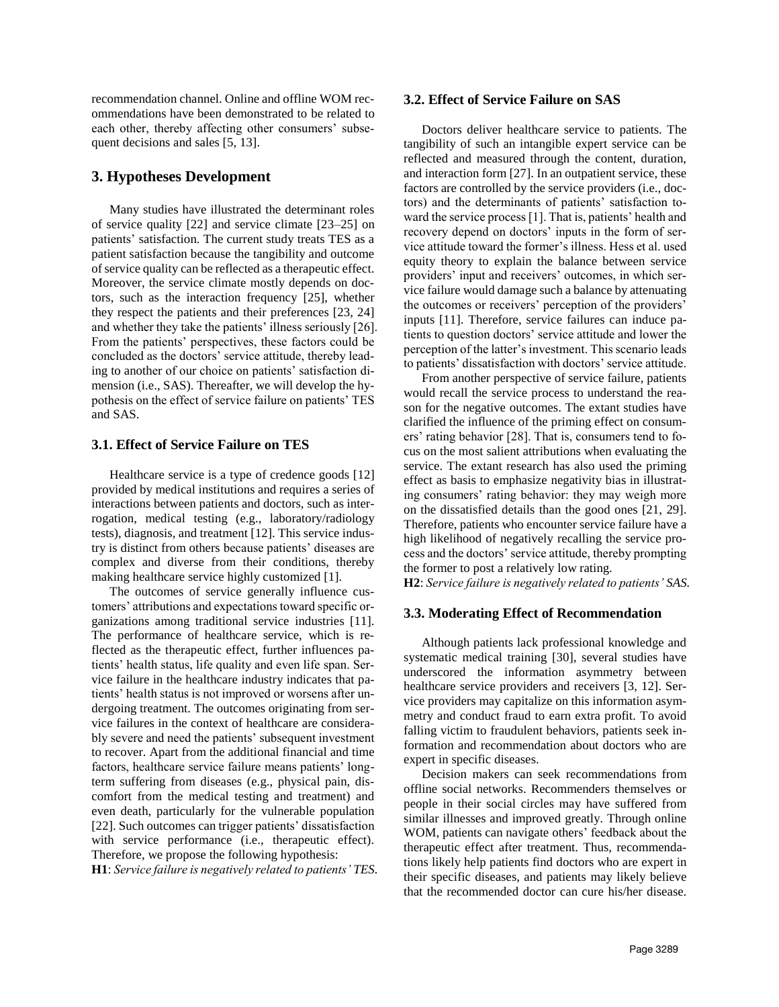recommendation channel. Online and offline WOM recommendations have been demonstrated to be related to each other, thereby affecting other consumers' subsequent decisions and sales [5, 13].

## **3. Hypotheses Development**

Many studies have illustrated the determinant roles of service quality [22] and service climate [23–25] on patients' satisfaction. The current study treats TES as a patient satisfaction because the tangibility and outcome of service quality can be reflected as a therapeutic effect. Moreover, the service climate mostly depends on doctors, such as the interaction frequency [25], whether they respect the patients and their preferences [23, 24] and whether they take the patients' illness seriously [26]. From the patients' perspectives, these factors could be concluded as the doctors' service attitude, thereby leading to another of our choice on patients' satisfaction dimension (i.e., SAS). Thereafter, we will develop the hypothesis on the effect of service failure on patients' TES and SAS.

## **3.1. Effect of Service Failure on TES**

Healthcare service is a type of credence goods [12] provided by medical institutions and requires a series of interactions between patients and doctors, such as interrogation, medical testing (e.g., laboratory/radiology tests), diagnosis, and treatment [12]. This service industry is distinct from others because patients' diseases are complex and diverse from their conditions, thereby making healthcare service highly customized [1].

The outcomes of service generally influence customers' attributions and expectations toward specific organizations among traditional service industries [11]. The performance of healthcare service, which is reflected as the therapeutic effect, further influences patients' health status, life quality and even life span. Service failure in the healthcare industry indicates that patients' health status is not improved or worsens after undergoing treatment. The outcomes originating from service failures in the context of healthcare are considerably severe and need the patients' subsequent investment to recover. Apart from the additional financial and time factors, healthcare service failure means patients' longterm suffering from diseases (e.g., physical pain, discomfort from the medical testing and treatment) and even death, particularly for the vulnerable population [22]. Such outcomes can trigger patients' dissatisfaction with service performance (i.e., therapeutic effect). Therefore, we propose the following hypothesis:

**H1**: *Service failure is negatively related to patients' TES.*

### **3.2. Effect of Service Failure on SAS**

Doctors deliver healthcare service to patients. The tangibility of such an intangible expert service can be reflected and measured through the content, duration, and interaction form [27]. In an outpatient service, these factors are controlled by the service providers (i.e., doctors) and the determinants of patients' satisfaction toward the service process [1]. That is, patients' health and recovery depend on doctors' inputs in the form of service attitude toward the former's illness. Hess et al. used equity theory to explain the balance between service providers' input and receivers' outcomes, in which service failure would damage such a balance by attenuating the outcomes or receivers' perception of the providers' inputs [11]. Therefore, service failures can induce patients to question doctors' service attitude and lower the perception of the latter's investment. This scenario leads to patients' dissatisfaction with doctors' service attitude.

From another perspective of service failure, patients would recall the service process to understand the reason for the negative outcomes. The extant studies have clarified the influence of the priming effect on consumers' rating behavior [28]. That is, consumers tend to focus on the most salient attributions when evaluating the service. The extant research has also used the priming effect as basis to emphasize negativity bias in illustrating consumers' rating behavior: they may weigh more on the dissatisfied details than the good ones [21, 29]. Therefore, patients who encounter service failure have a high likelihood of negatively recalling the service process and the doctors' service attitude, thereby prompting the former to post a relatively low rating.

**H2**: *Service failure is negatively related to patients' SAS.*

### **3.3. Moderating Effect of Recommendation**

Although patients lack professional knowledge and systematic medical training [30], several studies have underscored the information asymmetry between healthcare service providers and receivers [3, 12]. Service providers may capitalize on this information asymmetry and conduct fraud to earn extra profit. To avoid falling victim to fraudulent behaviors, patients seek information and recommendation about doctors who are expert in specific diseases.

Decision makers can seek recommendations from offline social networks. Recommenders themselves or people in their social circles may have suffered from similar illnesses and improved greatly. Through online WOM, patients can navigate others' feedback about the therapeutic effect after treatment. Thus, recommendations likely help patients find doctors who are expert in their specific diseases, and patients may likely believe that the recommended doctor can cure his/her disease.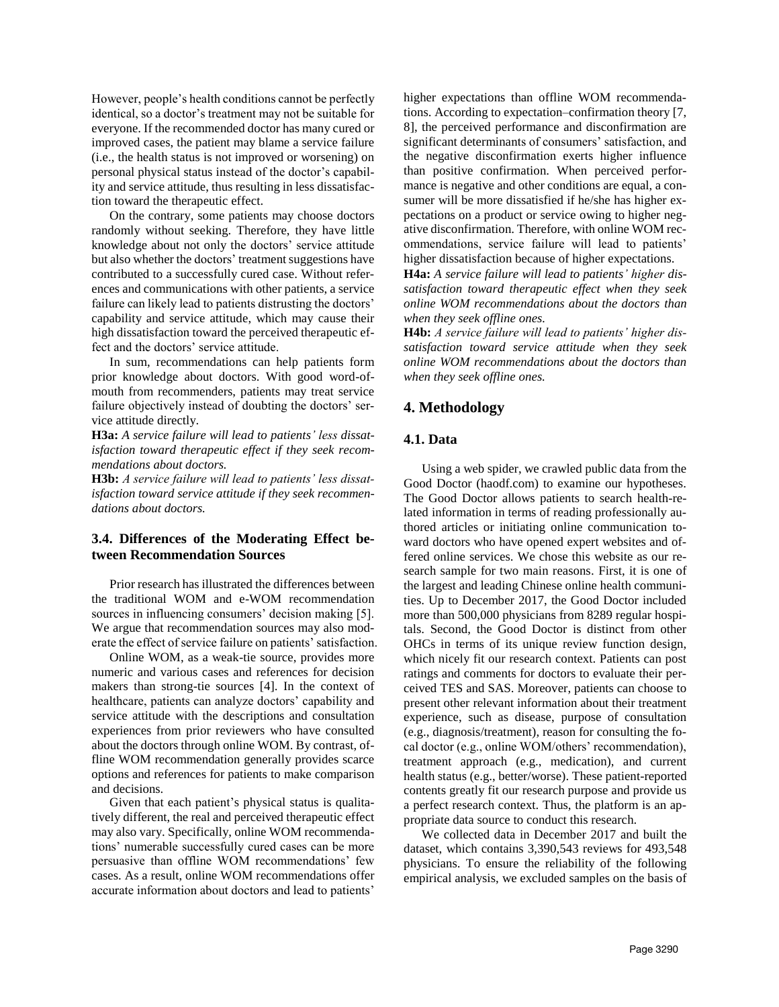However, people's health conditions cannot be perfectly identical, so a doctor's treatment may not be suitable for everyone. If the recommended doctor has many cured or improved cases, the patient may blame a service failure (i.e., the health status is not improved or worsening) on personal physical status instead of the doctor's capability and service attitude, thus resulting in less dissatisfaction toward the therapeutic effect.

On the contrary, some patients may choose doctors randomly without seeking. Therefore, they have little knowledge about not only the doctors' service attitude but also whether the doctors' treatment suggestions have contributed to a successfully cured case. Without references and communications with other patients, a service failure can likely lead to patients distrusting the doctors' capability and service attitude, which may cause their high dissatisfaction toward the perceived therapeutic effect and the doctors' service attitude.

In sum, recommendations can help patients form prior knowledge about doctors. With good word-ofmouth from recommenders, patients may treat service failure objectively instead of doubting the doctors' service attitude directly.

**H3a:** *A service failure will lead to patients' less dissatisfaction toward therapeutic effect if they seek recommendations about doctors.*

**H3b:** *A service failure will lead to patients' less dissatisfaction toward service attitude if they seek recommendations about doctors.*

## **3.4. Differences of the Moderating Effect between Recommendation Sources**

Prior research has illustrated the differences between the traditional WOM and e-WOM recommendation sources in influencing consumers' decision making [5]. We argue that recommendation sources may also moderate the effect of service failure on patients' satisfaction.

Online WOM, as a weak-tie source, provides more numeric and various cases and references for decision makers than strong-tie sources [4]. In the context of healthcare, patients can analyze doctors' capability and service attitude with the descriptions and consultation experiences from prior reviewers who have consulted about the doctors through online WOM. By contrast, offline WOM recommendation generally provides scarce options and references for patients to make comparison and decisions.

Given that each patient's physical status is qualitatively different, the real and perceived therapeutic effect may also vary. Specifically, online WOM recommendations' numerable successfully cured cases can be more persuasive than offline WOM recommendations' few cases. As a result, online WOM recommendations offer accurate information about doctors and lead to patients'

higher expectations than offline WOM recommendations. According to expectation–confirmation theory [7, 8], the perceived performance and disconfirmation are significant determinants of consumers' satisfaction, and the negative disconfirmation exerts higher influence than positive confirmation. When perceived performance is negative and other conditions are equal, a consumer will be more dissatisfied if he/she has higher expectations on a product or service owing to higher negative disconfirmation. Therefore, with online WOM recommendations, service failure will lead to patients' higher dissatisfaction because of higher expectations.

**H4a:** *A service failure will lead to patients' higher dissatisfaction toward therapeutic effect when they seek online WOM recommendations about the doctors than when they seek offline ones.*

**H4b:** *A service failure will lead to patients' higher dissatisfaction toward service attitude when they seek online WOM recommendations about the doctors than when they seek offline ones.*

## **4. Methodology**

## **4.1. Data**

Using a web spider, we crawled public data from the Good Doctor (haodf.com) to examine our hypotheses. The Good Doctor allows patients to search health-related information in terms of reading professionally authored articles or initiating online communication toward doctors who have opened expert websites and offered online services. We chose this website as our research sample for two main reasons. First, it is one of the largest and leading Chinese online health communities. Up to December 2017, the Good Doctor included more than 500,000 physicians from 8289 regular hospitals. Second, the Good Doctor is distinct from other OHCs in terms of its unique review function design, which nicely fit our research context. Patients can post ratings and comments for doctors to evaluate their perceived TES and SAS. Moreover, patients can choose to present other relevant information about their treatment experience, such as disease, purpose of consultation (e.g., diagnosis/treatment), reason for consulting the focal doctor (e.g., online WOM/others' recommendation), treatment approach (e.g., medication), and current health status (e.g., better/worse). These patient-reported contents greatly fit our research purpose and provide us a perfect research context. Thus, the platform is an appropriate data source to conduct this research.

We collected data in December 2017 and built the dataset, which contains 3,390,543 reviews for 493,548 physicians. To ensure the reliability of the following empirical analysis, we excluded samples on the basis of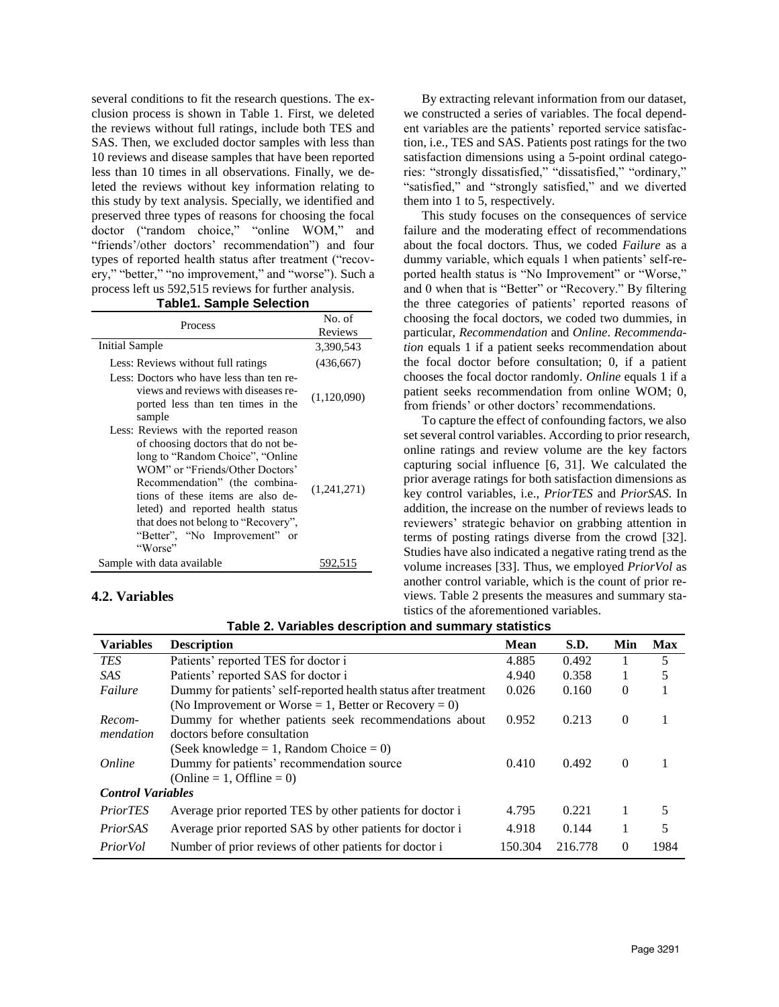several conditions to fit the research questions. The exclusion process is shown in Table 1. First, we deleted the reviews without full ratings, include both TES and SAS. Then, we excluded doctor samples with less than 10 reviews and disease samples that have been reported less than 10 times in all observations. Finally, we deleted the reviews without key information relating to this study by text analysis. Specially, we identified and preserved three types of reasons for choosing the focal doctor ("random choice," "online WOM," and "friends'/other doctors' recommendation") and four types of reported health status after treatment ("recovery," "better," "no improvement," and "worse"). Such a process left us 592,515 reviews for further analysis.

**Table1. Sample Selection**

| <b>Process</b>                                                                                                                                                                                                                                                                                                                                     | No. of      |
|----------------------------------------------------------------------------------------------------------------------------------------------------------------------------------------------------------------------------------------------------------------------------------------------------------------------------------------------------|-------------|
|                                                                                                                                                                                                                                                                                                                                                    | Reviews     |
| <b>Initial Sample</b>                                                                                                                                                                                                                                                                                                                              | 3,390,543   |
| Less: Reviews without full ratings                                                                                                                                                                                                                                                                                                                 | (436, 667)  |
| Less: Doctors who have less than ten re-<br>views and reviews with diseases re-<br>ported less than ten times in the<br>sample                                                                                                                                                                                                                     | (1,120,090) |
| Less: Reviews with the reported reason<br>of choosing doctors that do not be-<br>long to "Random Choice", "Online<br>WOM" or "Friends/Other Doctors"<br>Recommendation" (the combina-<br>tions of these items are also de-<br>leted) and reported health status<br>that does not belong to "Recovery",<br>"Better", "No Improvement" or<br>"Worse" | (1,241,271) |
| Sample with data available                                                                                                                                                                                                                                                                                                                         |             |

## **4.2. Variables**

By extracting relevant information from our dataset, we constructed a series of variables. The focal dependent variables are the patients' reported service satisfaction, i.e., TES and SAS. Patients post ratings for the two satisfaction dimensions using a 5-point ordinal categories: "strongly dissatisfied," "dissatisfied," "ordinary," "satisfied," and "strongly satisfied," and we diverted them into 1 to 5, respectively.

This study focuses on the consequences of service failure and the moderating effect of recommendations about the focal doctors. Thus, we coded *Failure* as a dummy variable, which equals 1 when patients' self-reported health status is "No Improvement" or "Worse," and 0 when that is "Better" or "Recovery." By filtering the three categories of patients' reported reasons of choosing the focal doctors, we coded two dummies, in particular, *Recommendation* and *Online*. *Recommendation* equals 1 if a patient seeks recommendation about the focal doctor before consultation; 0, if a patient chooses the focal doctor randomly. *Online* equals 1 if a patient seeks recommendation from online WOM; 0, from friends' or other doctors' recommendations.

To capture the effect of confounding factors, we also set several control variables. According to prior research, online ratings and review volume are the key factors capturing social influence [6, 31]. We calculated the prior average ratings for both satisfaction dimensions as key control variables, i.e., *PriorTES* and *PriorSAS*. In addition, the increase on the number of reviews leads to reviewers' strategic behavior on grabbing attention in terms of posting ratings diverse from the crowd [32]. Studies have also indicated a negative rating trend as the volume increases [33]. Thus, we employed *PriorVol* as another control variable, which is the count of prior reviews. Table 2 presents the measures and summary statistics of the aforementioned variables.

| <b>Variables</b>         | <b>Description</b>                                              | <b>Mean</b> | S.D.    | Min      | Max  |
|--------------------------|-----------------------------------------------------------------|-------------|---------|----------|------|
| <b>TES</b>               | Patients' reported TES for doctor i                             | 4.885       | 0.492   |          | 5    |
| <i>SAS</i>               | Patients' reported SAS for doctor i                             | 4.940       | 0.358   |          | 5    |
| Failure                  | Dummy for patients' self-reported health status after treatment |             | 0.160   | $\Omega$ |      |
|                          | (No Improvement or Worse = 1, Better or Recovery = 0)           |             |         |          |      |
| Recom-                   | Dummy for whether patients seek recommendations about           | 0.952       | 0.213   | $\Omega$ |      |
| mendation                | doctors before consultation                                     |             |         |          |      |
|                          | (Seek knowledge $= 1$ , Random Choice $= 0$ )                   |             |         |          |      |
| Online                   | Dummy for patients' recommendation source                       | 0.410       | 0.492   | $\Omega$ |      |
|                          | (Online = 1, Offline = 0)                                       |             |         |          |      |
| <b>Control Variables</b> |                                                                 |             |         |          |      |
| <i>PriorTES</i>          | Average prior reported TES by other patients for doctor i       | 4.795       | 0.221   |          | 5    |
| <i>PriorSAS</i>          | Average prior reported SAS by other patients for doctor i       | 4.918       | 0.144   |          | 5    |
| PriorVol                 | Number of prior reviews of other patients for doctor i          | 150.304     | 216.778 | 0        | 1984 |

**Table 2. Variables description and summary statistics**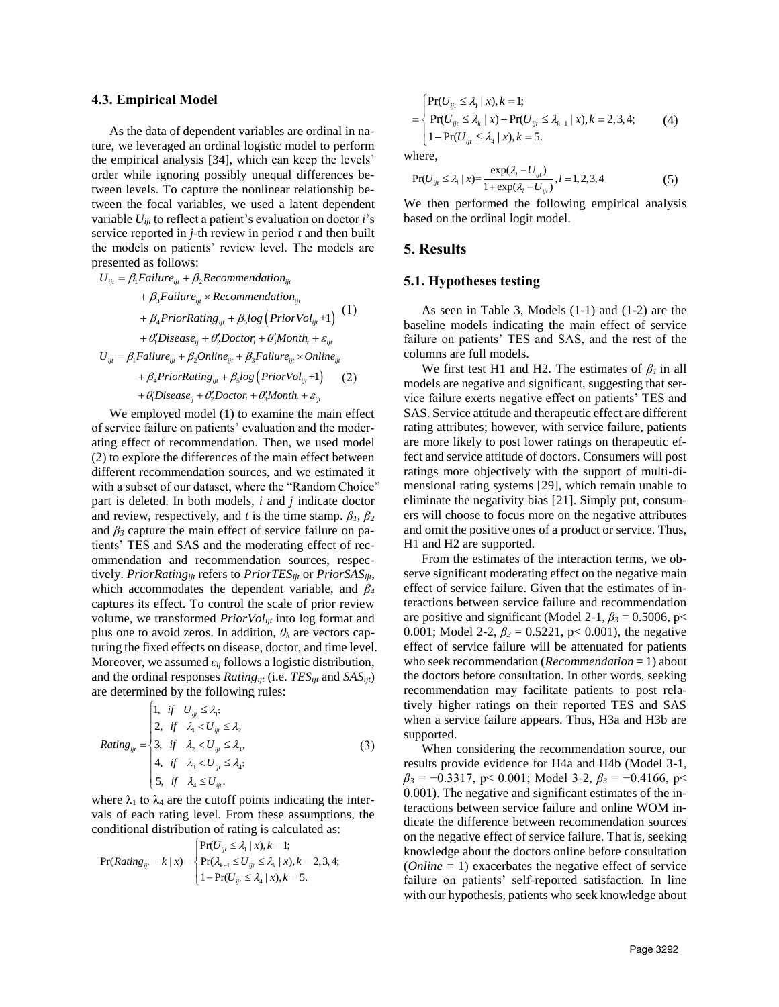#### **4.3. Empirical Model**

As the data of dependent variables are ordinal in nature, we leveraged an ordinal logistic model to perform the empirical analysis [34], which can keep the levels' order while ignoring possibly unequal differences between levels. To capture the nonlinear relationship between the focal variables, we used a latent dependent variable *Uijt* to reflect a patient's evaluation on doctor *i*'s service reported in *j-*th review in period *t* and then built the models on patients' review level. The models are presented as follows:<br>presented as follows:<br> $U_{ij} = \beta_1 F \alpha i lure_{ijt} + \beta_2 Recomemendation_{i}$ 

$$
U_{ijt} = \beta_1 Failure_{ijt} + \beta_2 Recommentation_{ijt}
$$
  
+  $\beta_3 Failure_{ijt} \times Recommentation_{ijt}$   
+  $\beta_4 PriorRating_{ijt} + \beta_5 log(PriorVol_{ijt} + 1)$  (1)  
+  $\theta'_i Discase_{ij} + \theta'_2 Doctor_i + \theta'_3 Month_t + \varepsilon_{ijt}$   

$$
U_{ijt} = \beta_1 Failure_{ijt} + \beta_2 Online_{ijt} + \beta_3 Failure_{ijt} \times Online_{ijt}
$$
  
+  $\beta_4 PriorRating_{ijt} + \beta_5 log(PriorVol_{ijt} + 1)$  (2)  
+  $\theta'_i Discase_{ij} + \theta'_2 Doctor_i + \theta'_3Month_t + \varepsilon_{ijt}$ 

We employed model (1) to examine the main effect of service failure on patients' evaluation and the moderating effect of recommendation. Then, we used model (2) to explore the differences of the main effect between different recommendation sources, and we estimated it with a subset of our dataset, where the "Random Choice" part is deleted. In both models, *i* and *j* indicate doctor and review, respectively, and *t* is the time stamp.  $\beta_1$ ,  $\beta_2$ and  $\beta_3$  capture the main effect of service failure on patients' TES and SAS and the moderating effect of recommendation and recommendation sources, respectively. *PriorRatingijt* refers to *PriorTESijt* or *PriorSASijt*, which accommodates the dependent variable, and *β<sup>4</sup>* captures its effect. To control the scale of prior review volume, we transformed *PriorVolijt* into log format and plus one to avoid zeros. In addition,  $\theta_k$  are vectors capturing the fixed effects on disease, doctor, and time level. Moreover, we assumed *εij* follows a logistic distribution, and the ordinal responses *Ratingijt* (i.e. *TESijt* and *SASijt*) are determined by the following rules:<br> $\begin{bmatrix} 1, & \text{if} & U_{\text{y}_i} \leq \lambda_i, \end{bmatrix}$ 

$$
Rating_{ijt} = \begin{cases} 1, & \text{if } U_{ijt} \leq \lambda_1; \\ 2, & \text{if } \lambda_1 < U_{ijt} \leq \lambda_2 \\ 3, & \text{if } \lambda_2 < U_{ijt} \leq \lambda_3, \\ 4, & \text{if } \lambda_3 < U_{ijt} \leq \lambda_4; \\ 5, & \text{if } \lambda_4 \leq U_{ijt}. \end{cases} \tag{3}
$$

where  $\lambda_1$  to  $\lambda_4$  are the cutoff points indicating the intervals of each rating level. From these assumptions, the conditional distribution of rating is calculated as:<br>  $\left[\text{Pr}(U_{ij} \leq \lambda_1 | x), k = 1; \right]$ 

and 
$$
S
$$
 is calculated as:  $Pr(Rating | x = k | x) = \begin{cases} Pr(U_{ij}, \leq \lambda_1 | x), k = 1; \\ Pr(\lambda_{k-1} \leq U_{ij}, \leq \lambda_k | x), k = 2, 3, 4; \\ Pr(\lambda_{k-1} \leq U_{ij}, \leq \lambda_k | x), k = 5. \end{cases}$ 

$$
= \begin{cases} Pr(U_{ijt} \leq \lambda_1 \mid x), k = 1; \\ Pr(U_{ijt} \leq \lambda_k \mid x) - Pr(U_{ijt} \leq \lambda_{k-1} \mid x), k = 2, 3, 4; \\ 1 - Pr(U_{ijt} \leq \lambda_4 \mid x), k = 5. \end{cases}
$$
(4)

where,

here,  
\n
$$
Pr(U_{ijl} \le \lambda_l \mid x) = \frac{\exp(\lambda_l - U_{ijl})}{1 + \exp(\lambda_l - U_{ijl})}, l = 1, 2, 3, 4
$$
\n(5)

We then performed the following empirical analysis based on the ordinal logit model.

## **5. Results**

### **5.1. Hypotheses testing**

As seen in Table 3, Models (1-1) and (1-2) are the baseline models indicating the main effect of service failure on patients' TES and SAS, and the rest of the columns are full models.

We first test H1 and H2. The estimates of  $\beta_l$  in all models are negative and significant, suggesting that service failure exerts negative effect on patients' TES and SAS. Service attitude and therapeutic effect are different rating attributes; however, with service failure, patients are more likely to post lower ratings on therapeutic effect and service attitude of doctors. Consumers will post ratings more objectively with the support of multi-dimensional rating systems [29], which remain unable to eliminate the negativity bias [21]. Simply put, consumers will choose to focus more on the negative attributes and omit the positive ones of a product or service. Thus, H1 and H2 are supported.

From the estimates of the interaction terms, we observe significant moderating effect on the negative main effect of service failure. Given that the estimates of interactions between service failure and recommendation are positive and significant (Model 2-1,  $\beta_3 = 0.5006$ , p< 0.001; Model 2-2,  $\beta_3 = 0.5221$ , p< 0.001), the negative effect of service failure will be attenuated for patients who seek recommendation (*Recommendation* = 1) about the doctors before consultation. In other words, seeking recommendation may facilitate patients to post relatively higher ratings on their reported TES and SAS when a service failure appears. Thus, H3a and H3b are supported.

When considering the recommendation source, our results provide evidence for H4a and H4b (Model 3-1,  $\beta_3 = -0.3317$ , p< 0.001; Model 3-2,  $\beta_3 = -0.4166$ , p< 0.001). The negative and significant estimates of the interactions between service failure and online WOM indicate the difference between recommendation sources on the negative effect of service failure. That is, seeking knowledge about the doctors online before consultation (*Online* = 1) exacerbates the negative effect of service failure on patients' self-reported satisfaction. In line with our hypothesis, patients who seek knowledge about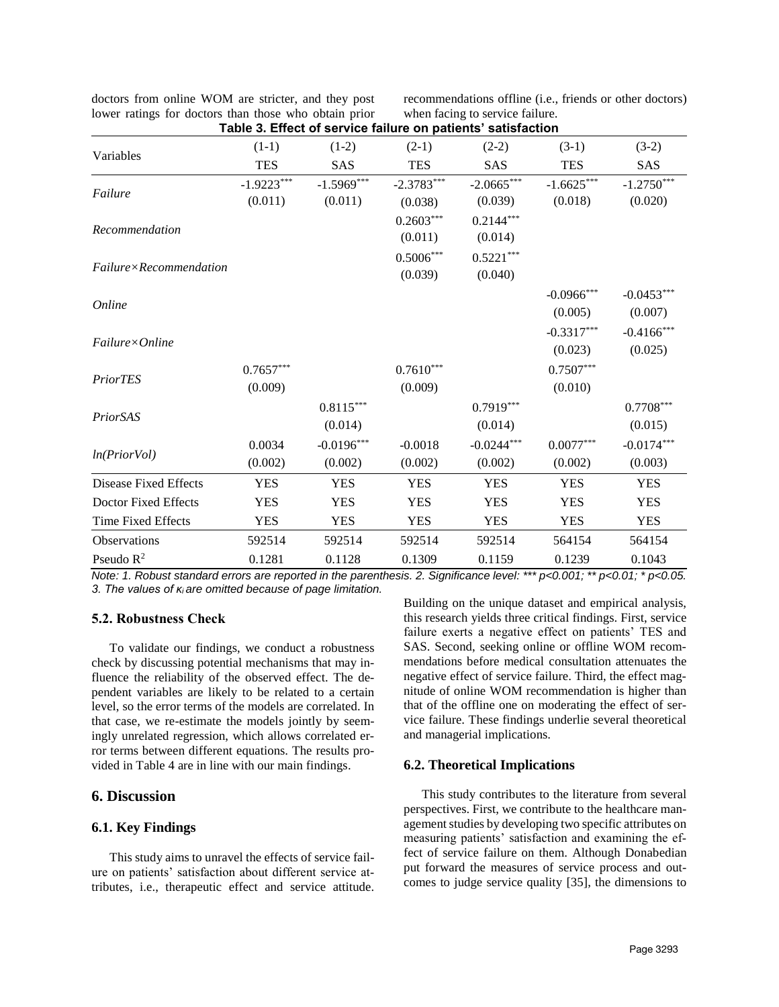| doctors from online WOM are stricter, and they post   |  |
|-------------------------------------------------------|--|
| lower ratings for doctors than those who obtain prior |  |
|                                                       |  |

recommendations offline (i.e., friends or other doctors) when facing to service failure.

|                                 | Table 3. Effect of service failure on patients' satisfaction |              |              |              |               |               |
|---------------------------------|--------------------------------------------------------------|--------------|--------------|--------------|---------------|---------------|
| Variables                       | $(1-1)$                                                      | $(1-2)$      | $(2-1)$      | $(2-2)$      | $(3-1)$       | $(3-2)$       |
|                                 | <b>TES</b>                                                   | <b>SAS</b>   | <b>TES</b>   | <b>SAS</b>   | <b>TES</b>    | SAS           |
| Failure                         | $-1.9223***$                                                 | $-1.5969***$ | $-2.3783***$ | $-2.0665***$ | $-1.6625***$  | $-1.2750***$  |
|                                 | (0.011)                                                      | (0.011)      | (0.038)      | (0.039)      | (0.018)       | (0.020)       |
|                                 |                                                              |              | $0.2603***$  | $0.2144***$  |               |               |
| Recommendation                  |                                                              |              | (0.011)      | (0.014)      |               |               |
|                                 |                                                              |              | $0.5006***$  | $0.5221***$  |               |               |
| Failure×Recommendation          |                                                              |              | (0.039)      | (0.040)      |               |               |
|                                 |                                                              |              |              |              | $-0.0966$ *** | $-0.0453***$  |
| Online                          |                                                              |              |              |              | (0.005)       | (0.007)       |
|                                 |                                                              |              |              |              | $-0.3317***$  | $-0.4166$ *** |
| $F\alpha$ ilure $\times$ Online |                                                              |              |              |              | (0.023)       | (0.025)       |
|                                 | $0.7657***$                                                  |              | $0.7610***$  |              | $0.7507***$   |               |
| <b>PriorTES</b>                 | (0.009)                                                      |              | (0.009)      |              | (0.010)       |               |
|                                 |                                                              | $0.8115***$  |              | $0.7919***$  |               | $0.7708***$   |
| PriorSAS                        |                                                              | (0.014)      |              | (0.014)      |               | (0.015)       |
|                                 | 0.0034                                                       | $-0.0196***$ | $-0.0018$    | $-0.0244***$ | $0.0077***$   | $-0.0174***$  |
| ln(PriorVol)                    | (0.002)                                                      | (0.002)      | (0.002)      | (0.002)      | (0.002)       | (0.003)       |
| Disease Fixed Effects           | <b>YES</b>                                                   | <b>YES</b>   | <b>YES</b>   | <b>YES</b>   | <b>YES</b>    | <b>YES</b>    |
| Doctor Fixed Effects            | <b>YES</b>                                                   | <b>YES</b>   | <b>YES</b>   | <b>YES</b>   | <b>YES</b>    | <b>YES</b>    |
| Time Fixed Effects              | <b>YES</b>                                                   | <b>YES</b>   | <b>YES</b>   | <b>YES</b>   | <b>YES</b>    | <b>YES</b>    |
| <b>Observations</b>             | 592514                                                       | 592514       | 592514       | 592514       | 564154        | 564154        |
| Pseudo $R^2$                    | 0.1281                                                       | 0.1128       | 0.1309       | 0.1159       | 0.1239        | 0.1043        |

*Note: 1. Robust standard errors are reported in the parenthesis. 2. Significance level: \*\*\* p<0.001; \*\* p<0.01; \* p<0.05. 3. The values of κi are omitted because of page limitation.*

## **5.2. Robustness Check**

To validate our findings, we conduct a robustness check by discussing potential mechanisms that may influence the reliability of the observed effect. The dependent variables are likely to be related to a certain level, so the error terms of the models are correlated. In that case, we re-estimate the models jointly by seemingly unrelated regression, which allows correlated error terms between different equations. The results provided in Table 4 are in line with our main findings.

## **6. Discussion**

## **6.1. Key Findings**

This study aims to unravel the effects of service failure on patients' satisfaction about different service attributes, i.e., therapeutic effect and service attitude. Building on the unique dataset and empirical analysis, this research yields three critical findings. First, service failure exerts a negative effect on patients' TES and SAS. Second, seeking online or offline WOM recommendations before medical consultation attenuates the negative effect of service failure. Third, the effect magnitude of online WOM recommendation is higher than that of the offline one on moderating the effect of service failure. These findings underlie several theoretical and managerial implications.

### **6.2. Theoretical Implications**

This study contributes to the literature from several perspectives. First, we contribute to the healthcare management studies by developing two specific attributes on measuring patients' satisfaction and examining the effect of service failure on them. Although Donabedian put forward the measures of service process and outcomes to judge service quality [35], the dimensions to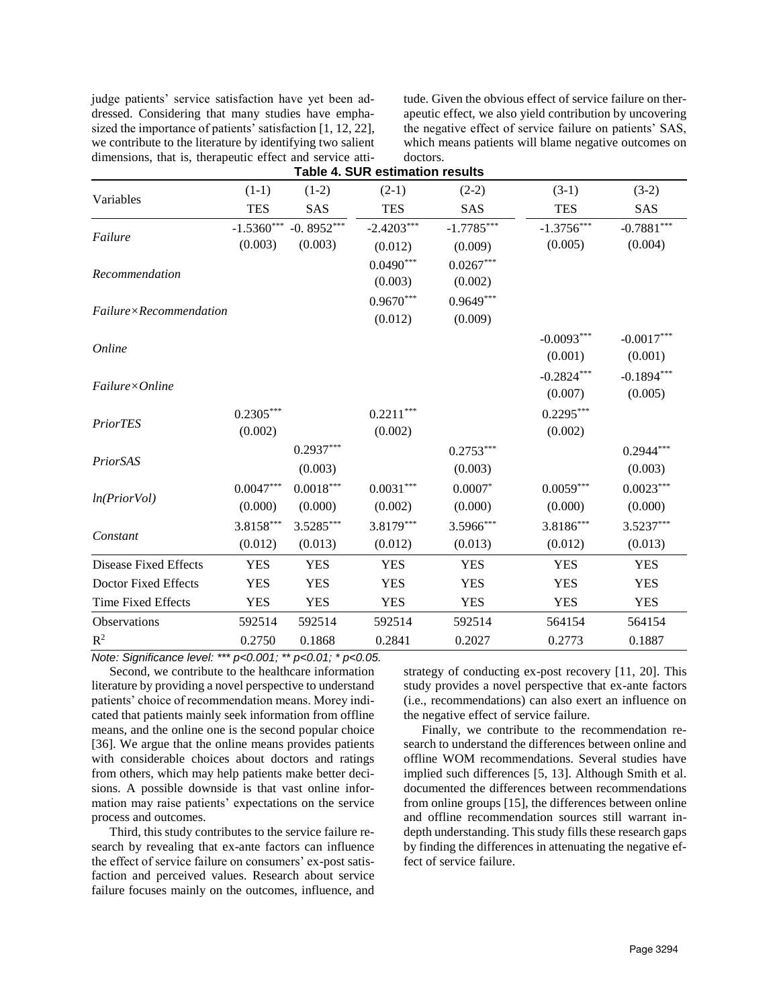judge patients' service satisfaction have yet been addressed. Considering that many studies have emphasized the importance of patients' satisfaction [1, 12, 22], we contribute to the literature by identifying two salient dimensions, that is, therapeutic effect and service attitude. Given the obvious effect of service failure on therapeutic effect, we also yield contribution by uncovering the negative effect of service failure on patients' SAS, which means patients will blame negative outcomes on doctors.

| $(1-2)$<br>$(2-1)$<br>$(3-2)$<br>$(1-1)$<br>$(2-2)$<br>$(3-1)$                                                   |  |
|------------------------------------------------------------------------------------------------------------------|--|
| Variables                                                                                                        |  |
| <b>TES</b><br><b>TES</b><br>SAS<br><b>TES</b><br>SAS<br><b>SAS</b>                                               |  |
| -0.8952***<br>$-1.7785***$<br>$-1.5360***$<br>$-2.4203***$<br>$-1.3756***$<br>$-0.7881***$                       |  |
| Failure<br>(0.003)<br>(0.003)<br>(0.005)<br>(0.004)<br>(0.009)<br>(0.012)                                        |  |
| $0.0490***$<br>$0.0267***$<br>Recommendation                                                                     |  |
| (0.003)<br>(0.002)                                                                                               |  |
| $0.9670***$<br>$0.9649***$<br>$F \alpha$ ilure $\times$ Recommendation                                           |  |
| (0.012)<br>(0.009)                                                                                               |  |
| $-0.0093***$<br>$-0.0017***$                                                                                     |  |
| Online<br>(0.001)<br>(0.001)                                                                                     |  |
| $-0.2824***$<br>$-0.1894***$                                                                                     |  |
| $F\alpha$ ilure $\times$ Online<br>(0.007)<br>(0.005)                                                            |  |
| $0.2305***$<br>$0.2211***$<br>$0.2295***$                                                                        |  |
| PriorTES<br>(0.002)<br>(0.002)<br>(0.002)                                                                        |  |
| $0.2937***$<br>$0.2944***$<br>$0.2753***$                                                                        |  |
| PriorSAS<br>(0.003)<br>(0.003)<br>(0.003)                                                                        |  |
| $0.0047***$<br>$0.0018^{***}\,$<br>$0.0031***$<br>$0.0007*$<br>$0.0059***$<br>$0.0023***$                        |  |
| ln(PriorVol)<br>(0.000)<br>(0.000)<br>(0.002)<br>(0.000)<br>(0.000)<br>(0.000)                                   |  |
| 3.8158***<br>$3.5285***$<br>3.8179***<br>3.5966***<br>$3.8186***$<br>$3.5237***$                                 |  |
| Constant<br>(0.012)<br>(0.013)<br>(0.013)<br>(0.012)<br>(0.012)<br>(0.013)                                       |  |
| <b>Disease Fixed Effects</b><br><b>YES</b><br><b>YES</b><br><b>YES</b><br><b>YES</b><br><b>YES</b><br><b>YES</b> |  |
| Doctor Fixed Effects<br><b>YES</b><br><b>YES</b><br><b>YES</b><br><b>YES</b><br><b>YES</b><br><b>YES</b>         |  |
| Time Fixed Effects<br><b>YES</b><br><b>YES</b><br><b>YES</b><br><b>YES</b><br><b>YES</b><br><b>YES</b>           |  |
| Observations<br>592514<br>592514<br>592514<br>564154<br>564154<br>592514                                         |  |
| $R^2$<br>0.2750<br>0.1868<br>0.2841<br>0.2027<br>0.2773<br>0.1887                                                |  |

*Note: Significance level: \*\*\* p<0.001; \*\* p<0.01; \* p<0.05.*

Second, we contribute to the healthcare information literature by providing a novel perspective to understand patients' choice of recommendation means. Morey indicated that patients mainly seek information from offline means, and the online one is the second popular choice [36]. We argue that the online means provides patients with considerable choices about doctors and ratings from others, which may help patients make better decisions. A possible downside is that vast online information may raise patients' expectations on the service process and outcomes.

Third, this study contributes to the service failure research by revealing that ex-ante factors can influence the effect of service failure on consumers' ex-post satisfaction and perceived values. Research about service failure focuses mainly on the outcomes, influence, and strategy of conducting ex-post recovery [11, 20]. This study provides a novel perspective that ex-ante factors (i.e., recommendations) can also exert an influence on the negative effect of service failure.

Finally, we contribute to the recommendation research to understand the differences between online and offline WOM recommendations. Several studies have implied such differences [5, 13]. Although Smith et al. documented the differences between recommendations from online groups [15], the differences between online and offline recommendation sources still warrant indepth understanding. This study fills these research gaps by finding the differences in attenuating the negative effect of service failure.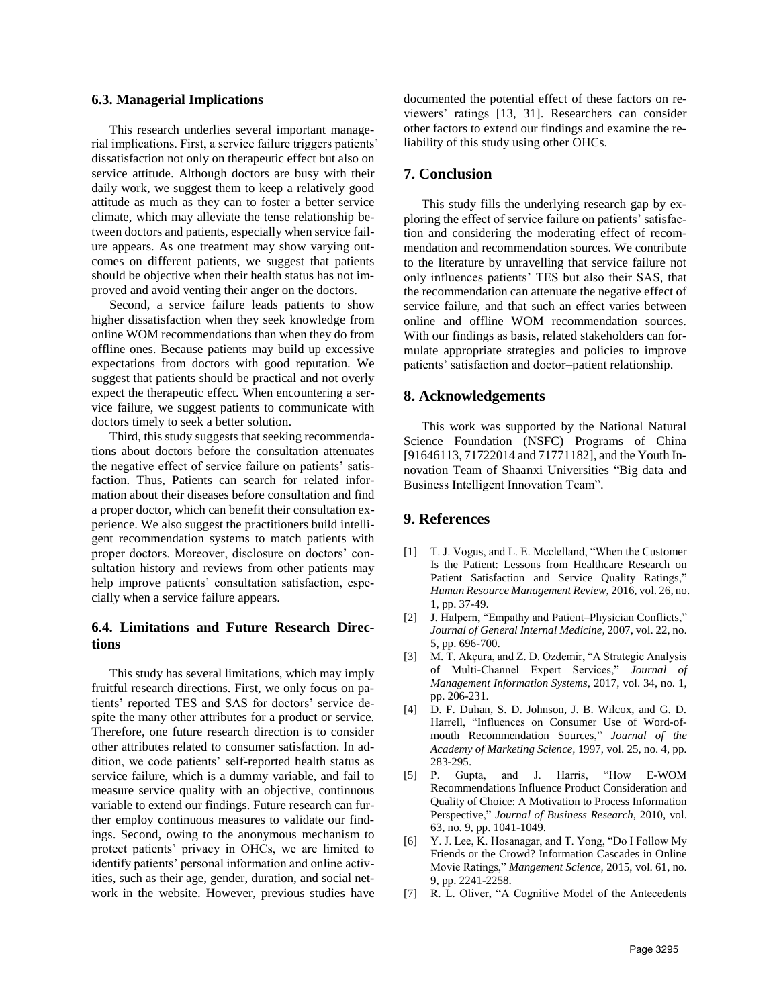#### **6.3. Managerial Implications**

This research underlies several important managerial implications. First, a service failure triggers patients' dissatisfaction not only on therapeutic effect but also on service attitude. Although doctors are busy with their daily work, we suggest them to keep a relatively good attitude as much as they can to foster a better service climate, which may alleviate the tense relationship between doctors and patients, especially when service failure appears. As one treatment may show varying outcomes on different patients, we suggest that patients should be objective when their health status has not improved and avoid venting their anger on the doctors.

Second, a service failure leads patients to show higher dissatisfaction when they seek knowledge from online WOM recommendations than when they do from offline ones. Because patients may build up excessive expectations from doctors with good reputation. We suggest that patients should be practical and not overly expect the therapeutic effect. When encountering a service failure, we suggest patients to communicate with doctors timely to seek a better solution.

Third, this study suggests that seeking recommendations about doctors before the consultation attenuates the negative effect of service failure on patients' satisfaction. Thus, Patients can search for related information about their diseases before consultation and find a proper doctor, which can benefit their consultation experience. We also suggest the practitioners build intelligent recommendation systems to match patients with proper doctors. Moreover, disclosure on doctors' consultation history and reviews from other patients may help improve patients' consultation satisfaction, especially when a service failure appears.

## **6.4. Limitations and Future Research Directions**

This study has several limitations, which may imply fruitful research directions. First, we only focus on patients' reported TES and SAS for doctors' service despite the many other attributes for a product or service. Therefore, one future research direction is to consider other attributes related to consumer satisfaction. In addition, we code patients' self-reported health status as service failure, which is a dummy variable, and fail to measure service quality with an objective, continuous variable to extend our findings. Future research can further employ continuous measures to validate our findings. Second, owing to the anonymous mechanism to protect patients' privacy in OHCs, we are limited to identify patients' personal information and online activities, such as their age, gender, duration, and social network in the website. However, previous studies have

documented the potential effect of these factors on reviewers' ratings [13, 31]. Researchers can consider other factors to extend our findings and examine the reliability of this study using other OHCs.

## **7. Conclusion**

This study fills the underlying research gap by exploring the effect of service failure on patients' satisfaction and considering the moderating effect of recommendation and recommendation sources. We contribute to the literature by unravelling that service failure not only influences patients' TES but also their SAS, that the recommendation can attenuate the negative effect of service failure, and that such an effect varies between online and offline WOM recommendation sources. With our findings as basis, related stakeholders can formulate appropriate strategies and policies to improve patients' satisfaction and doctor–patient relationship.

## **8. Acknowledgements**

This work was supported by the National Natural Science Foundation (NSFC) Programs of China [91646113, 71722014 and 71771182], and the Youth Innovation Team of Shaanxi Universities "Big data and Business Intelligent Innovation Team".

## **9. References**

- [1] T. J. Vogus, and L. E. Mcclelland, "When the Customer Is the Patient: Lessons from Healthcare Research on Patient Satisfaction and Service Quality Ratings," *Human Resource Management Review,* 2016, vol. 26, no. 1, pp. 37-49.
- [2] J. Halpern, "Empathy and Patient–Physician Conflicts," *Journal of General Internal Medicine,* 2007, vol. 22, no. 5, pp. 696-700.
- [3] M. T. Akçura, and Z. D. Ozdemir, "A Strategic Analysis of Multi-Channel Expert Services," *Journal of Management Information Systems,* 2017, vol. 34, no. 1, pp. 206-231.
- [4] D. F. Duhan, S. D. Johnson, J. B. Wilcox, and G. D. Harrell, "Influences on Consumer Use of Word-ofmouth Recommendation Sources," *Journal of the Academy of Marketing Science,* 1997, vol. 25, no. 4, pp. 283-295.
- [5] P. Gupta, and J. Harris, "How E-WOM Recommendations Influence Product Consideration and Quality of Choice: A Motivation to Process Information Perspective," *Journal of Business Research,* 2010, vol. 63, no. 9, pp. 1041-1049.
- [6] Y. J. Lee, K. Hosanagar, and T. Yong, "Do I Follow My Friends or the Crowd? Information Cascades in Online Movie Ratings," *Mangement Science,* 2015, vol. 61, no. 9, pp. 2241-2258.
- [7] R. L. Oliver, "A Cognitive Model of the Antecedents